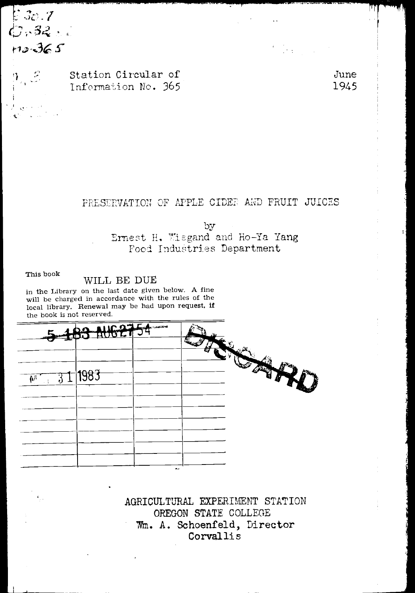Station Circular of June<br>
Information No. 365 1945 Information No. 365

PRESERVATION OF APPLE CIDEF AND FRUIT JUICES

 $by$ Ernest H. Wiegand and Ho-Ya Yang  $\,$ Food Industries Department

This book

 $^{6.35.7}_{6.932\pm6.1}$ 

 $1.3 - 365$ 

5.

in the Library on the last date given below. A fine will be charged in accordance with the rules of the local library. Renewal may be had upon request, if the book is not reserved.

|                       | $0$ ALIC $2254$ |  |                                                         |
|-----------------------|-----------------|--|---------------------------------------------------------|
| $\overline{M}$<br>ঃ ∂ |                 |  | $\mathscr{P}_{\mathscr{A}^{\mathrm{op}}_{\mathrm{op}}}$ |
|                       |                 |  |                                                         |
|                       |                 |  |                                                         |

AGRICULTURAL EXPERIMENT STATION OREGON STATE COLLEGE Wm. A. Schoenfeld, Director Corvallis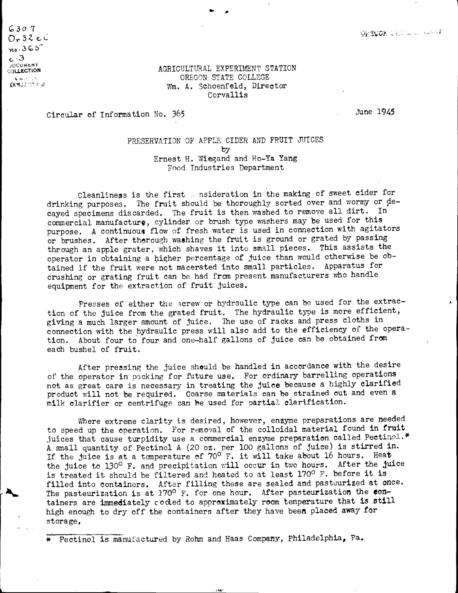$630.7$  $0.32c$ <br>no.365  $\frac{1}{2}$ -3

## -OLEGTION AGRICULTURAL EXPERIMENT STATION<br>
COLLEGTION CREGON STATE COLLEGE<br>
(STATION CREGON STATE COLLEGE OREGON STATE COLLEGE Wm. A. Schoenfeld, Director Corvallis

Circular of Information No. 365

June 1945

## PRESERVATION OF APPLE CIDER AND FRUIT JUICES by Ernest H. Wiegand and Ho-Ya Yang Food Industries Department

Cleanliness is the first ensideration in the making of sweet cider for drinking purposes. The fruit should be thoroughly sorted over and wormy or decayed specimens discarded. The fruit is then washed to remove all dirt. In commercial manufacture, cylinder or brush type washers may be used for this purpose. A continuous flow of fresh water is used in connection with agitators or brushes. After thorough washing the fruit is ground or grated by passing through an apple grater, which shaves it into small pieces. This assists the operator in obtaining a higher percentage of juice than would otherwise be obtained if the fruit were not macerated into small particles. Apparatus for crushing or grating fruit can be had from present manufacturers who handle equipment for the extraction of fruit juices.

Presses of either the screw or hydraulic type can be used for the extraction of the juice from the grated fruit. The hydraulic type is more efficient, giving a much larger amount of juice. The use of racks and press cloths in connection with the hydraulic press will also add to the efficiency of the operation. About four to four and one-half gallons of juice can be obtained from each bushel of fruit.

After pressing the juice should be handled in accordance with the desire of the operator in packing for future use. For ordinary barrelling operations not as great care is necessary in treating the juice because a highly clarified product will not be required. Coarse materials can be strained out and even a milk clarifier or centrifuge can he used for artial clarification.

Where extreme clarity is desired, however, enzyme preparations are needed to speed up the operation. For removal of the colloidal material found in fruit juices that cause turpidity use a commercial enzyme preparation called Pectinol.\* A small quantity of Pectinol A (20 oz. per 100 gallons of juice) is stirred in. If the juice is at a temperature of  $70^{\circ}$  F. it will take about 16 hours. Heat the juice to 130° F. and precipitation will occur in two hours. After the juice is treated it should be filtered and heated to at least 170° F. before it is filled Into containers. After filling these are sealed and pasteurized at once. The pasteurization is at 170° F. for one hour. After pasteurization the containers are immediately cooled to approximately room temperature that is still high enough to dry off the containers after they have been placed away for storage.

\* Pectinol is manufactured by Rohm and Haas Company, Philadelphia, Pa.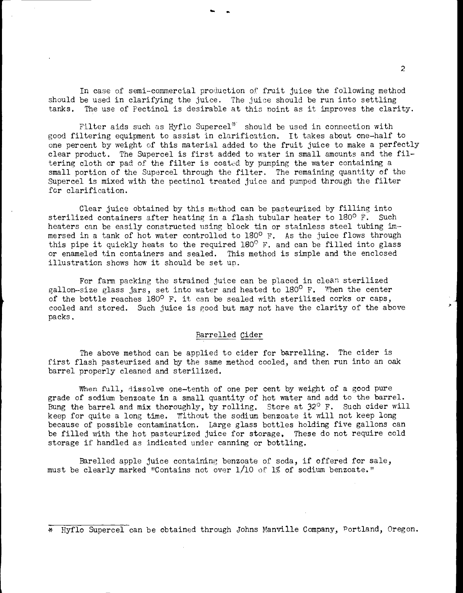In case of semi-commercial production of fruit juice the following method should be used in clarifying the juice. The juice should be run into settling tanks. The use of Pectinol is desirable at this noint as it improves the clarity.

Filter aids such as Hyflo Supercel\* should be used in connection with good filtering equipment to assist in clarification. It takes about one-half to one percent by weight of this material added to the fruit juice to make a perfectly clear product. The Supercel is first added to water in small amounts and the filtering cloth or pad of the filter is coated by pumping the water containing a small portion of the Supercel through the filter. The remaining quantity of the Supercel is mixed with the pectinol treated juice and pumped through the filter for clarification.

Clear juice obtained by this method can be pasteurized by filling into sterilized containers after heating in a flash tubular heater to 180° F. Such heaters can be easily constructed using block tin or stainless steel tubing immersed in a tank of hot water controlled to 180° F. As the juice flows through this pipe it quickly heats to the required  $180^{\circ}$  F. and can be filled into glass or enameled tin containers and sealed. This method is simple and the enclosed illustration shows how it should be set up.

For farm packing the strained juice can be placed in clean sterilized gallon-size glass jars, set into water and heated to  $180^{\circ}$  F. When the center of the bottle reaches 180° F. it can be sealed with sterilized corks or caps, cooled and stored. Such juice is good but may not have the clarity of the above packs.

## Barrelled Cider

The above method can be applied to cider for barrelling. The cider is first flash pasteurized and by the same method cooled, and then run into an oak barrel properly cleaned and sterilized.

When full, dissolve one-tenth of one per cent by weight of a good pure grade of sodium benzoate in a small quantity of hot water and add to the barrel. Bung the barrel and mix thoroughly, by rolling. Store at 32° F. Such cider will keep for quite a long time. Without the sodium benzoate it will not keep long because of possible contamination. Large glass bottles holding five gallons can be filled with the hot pasteurized juice for storage, These do not require cold storage if handled as indicated under canning or bottling.

Barelled apple juice containing benzoate of soda, if offered for sale, must be clearly marked "Contains not over  $1/10$  of  $1\%$  of sodium benzoate."

\* Hyflo Supercel can be obtained through Johns Manville Company, Portland, Oregon.